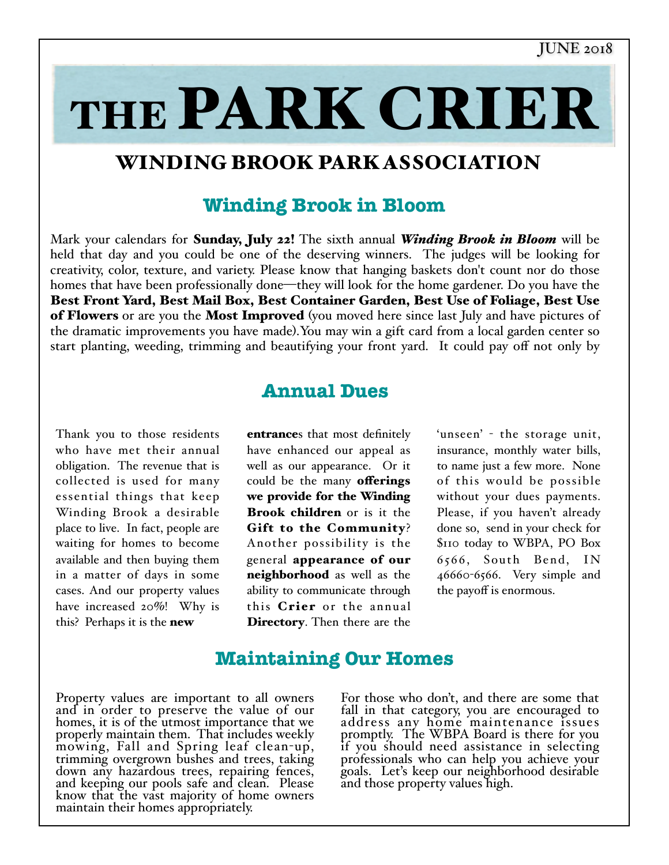THE PARK CRIER

## WINDING BROOK PARK ASSOCIATION

## **Winding Brook in Bloom**

Mark your calendars for Sunday, July 22! The sixth annual *Winding Brook in Bloom* will be held that day and you could be one of the deserving winners. The judges will be looking for creativity, color, texture, and variety. Please know that hanging baskets don't count nor do those homes that have been professionally done—they will look for the home gardener. Do you have the Best Front Yard, Best Mail Box, Best Container Garden, Best Use of Foliage, Best Use of Flowers or are you the Most Improved (you moved here since last July and have pictures of the dramatic improvements you have made).You may win a gift card from a local garden center so start planting, weeding, trimming and beautifying your front yard. It could pay off not only by

## **Annual Dues**

Thank you to those residents who have met their annual obligation. The revenue that is collected is used for many essential things that keep Winding Brook a desirable place to live. In fact, people are waiting for homes to become available and then buying them in a matter of days in some cases. And our property values have increased 20%! Why is this? Perhaps it is the **new** 

entrances that most definitely have enhanced our appeal as well as our appearance. Or it could be the many **offerings** we provide for the Winding Brook children or is it the Gift to the Community? Another possibility is the general appearance of our neighborhood as well as the ability to communicate through this Crier or the annual Directory. Then there are the

'unseen' - the storage unit, insurance, monthly water bills, to name just a few more. None of this would be possible without your dues payments. Please, if you haven't already done so, send in your check for \$110 today to WBPA, PO Box 6566, South Bend, IN 46660-6566. Very simple and the payoff is enormous.

## **Maintaining Our Homes**

Property values are important to all owners and in order to preserve the value of our homes, it is of the utmost importance that we properly maintain them. That includes weekly mowing, Fall and Spring leaf clean-up, trimming overgrown bushes and trees, taking down any hazardous trees, repairing fences, and keeping our pools safe and clean. Please know that the vast majority of home owners maintain their homes appropriately.

For those who don't, and there are some that fall in that category, you are encouraged to address any home maintenance issues promptly. The WBPA Board is there for you if you should need assistance in selecting professionals who can help you achieve your goals. Let's keep our neighborhood desirable and those property values high.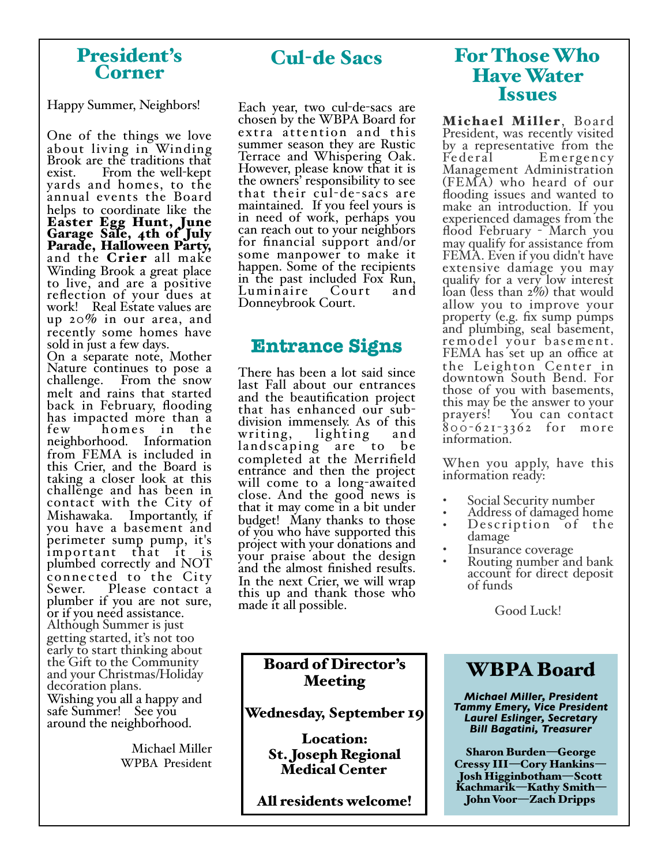### President's Corner

Happy Summer, Neighbors!

One of the things we love about living in Winding Brook are the traditions that exist. From the well-kept yards and homes, to the annual events the Board helps to coordinate like the Easter Egg Hunt, June Garage Sale, 4th of July Parade, Halloween Party, and the Crier all make Winding Brook a great place to live, and are a positive reflection of your dues at work! Real Estate values are up 20% in our area, and recently some homes have<br>sold in just a few days.

On a separate note, Mother Nature continues to pose a challenge. From the snow melt and rains that started back in February, flooding has impacted more than a<br>few homes in the homes in the neighborhood. Information from FEMA is included in this Crier, and the Board is taking a closer look at this challenge and has been in contact with the City of you have a basement and perimeter sump pump, it's important that it is plumbed correctly and NOT connected to the City<br>Sewer. Please contact a Please contact a plumber if you are not sure, or if you need assistance. Although Summer is just getting started, it's not too early to start thinking about the Gift to the Community and your Christmas/Holiday decoration plans. Wishing you all a happy and<br>safe Summer! See you around the neighborhood.

> Michael Miller WPBA President

## Cul-de Sacs

Each year, two cul-de-sacs are chosen by the WBPA Board for extra attention and this summer season they are Rustic Terrace and Whispering Oak. However, please know that it is the owners' responsibility to see that their cul-de-sacs are maintained. If you feel yours is in need of work, perhaps you can reach out to your neighbors for financial support and/or some manpower to make it happen. Some of the recipients in the past included Fox Run, Luminaire Court and Donneybrook Court.

## **Entrance Signs**

There has been a lot said since last Fall about our entrances and the beautification project division immensely. As of this<br>writing, lighting and lighting landscaping are to be completed at the Merrifield entrance and then the project will come to a long-awaited close. And the good news is that it may come in a bit under budget! Many thanks to those of you who have supported this project with your donations and your praise about the design and the almost finished results. In the next Crier, we will wrap this up and thank those who made it all possible.

### Board of Director's Meeting

Wednesday, September 19

Location: St. Joseph Regional Medical Center

All residents welcome!

## For Those Who Have Water Issues

Michael Miller, Board President, was recently visited by a representative from the<br>Federal Benergency Emergency Management Administration (FEMA) who heard of our flooding issues and wanted to make an introduction. If you experienced damages from the flood February - March you may qualify for assistance from FEMA. Even if you didn't have extensive damage you may qualify for a very low interest loan (less than 2\%) that would allow you to improve your<br>property (e.g. fix sump pumps and plumbing, seal basement, remodel your ba sement. FEMA has set up an office at the Leighton Center in downtown South Bend. For those of you with basements, this may be the answer to your prayers! You can contact <sup>800</sup>-621- 3362 for more information.

When you apply, have this information ready:

- Social Security number
- Address of damaged home Description of the
- damage
- Insurance coverage<br>Routing number and bank
- account for direct deposit of funds

Good Luck!

## WBPA Board

*Michael Miller, President Tammy Emery, Vice President Laurel Eslinger, Secretary Bill Bagatini, Treasurer*

Sharon Burden—George Cressy III—Cory Hankins— Josh Higginbotham—Scott Kachmarik—Kathy Smith— John Voor—Zach Dripps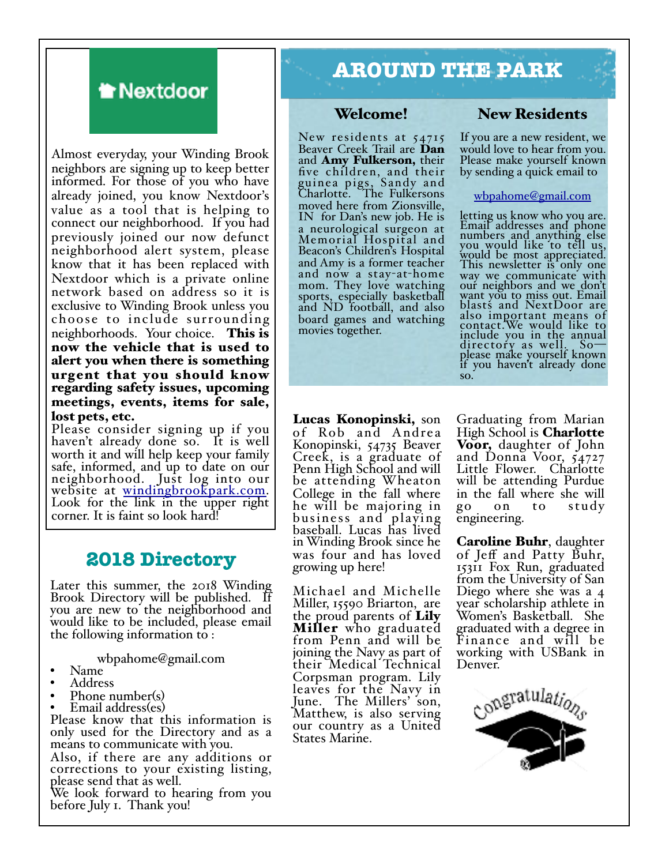## **Mextdoor**

Almost everyday, your Winding Brook neighbors are signing up to keep better informed. For those of you who have already joined, you know Nextdoor's value as a tool that is helping to connect our neighborhood. If you had previously joined our now defunct neighborhood alert system, please know that it has been replaced with Nextdoor which is a private online network based on address so it is exclusive to Winding Brook unless you choose to include surrounding neighborhoods. Your choice. This is now the vehicle that is used to alert you when there is something urgent that you should know regarding safety issues, upcoming meetings, events, items for sale, lost pets, etc.

Please consider signing up if you haven't already done so. It is well worth it and will help keep your family safe, informed, and up to date on our neighborhood. Just log into our website at <u>windingbrookpark.com</u>.<br>Look for t[he link in the upper right](http://windingbrookpark.com) corner. It is faint so look hard!

## **2018 Directory**

Later this summer, the 2018 Winding Brook Directory will be published. If you are new to the neighborhood and would like to be included, please email the following information to :

wbpahome@gmail.com<br>• Name<br>• Address<br>• Phone number(s)<br>• Email address(es)

- 
- 
- 
- 

Please know that this information is only used for the Directory and as a means to communicate with you.

Also, if there are any additions or corrections to your existing listing, please send that as well.

We look forward to hearing from you before July 1. Thank you!

## **AROUND THE PARK**

#### Welcome!

New residents at 54715 Beaver Creek Trail are **Dan** and Amy Fulkerson, their five children, and their guinea pigs, Sandy and Charlotte. The Fulkersons moved here from Zionsville, IN for Dan's new job. He is a neurological surgeon at Memorial Hospital and Beacon's Children's Hospital and Amy is a former teacher and now a stay-at-home mom. They love watching sports, especially basketball and ND football, and also board games and watching movies together.

Lucas Konopinski, son of Rob and Andrea Konopinski, 54735 Beaver Creek, is a graduate of Penn High School and will be attending Wheaton College in the fall where he will be majoring in business and playing baseball. Lucas has lived in Winding Brook since he was four and has loved growing up here!

Michael and Michelle Miller, 15590 Briarton, are the proud parents of Lily<br>Miller who graduated<br>from Penn and will be joining the Navy as part of their Medical Technical Corpsman program. Lily leaves for the Navy in June. The Millers' son, Matthew, is also serving our country as a United States Marine.

#### New Residents

If you are a new resident, we would love to hear from you. Please make yourself known by sending a quick email to

#### [wbpahome@gmail.com](mailto:wbpahome@gmail.com)

letting us know who you are. Email addresses and phone numbers and anything else you would like to tell us, would be most appreciated. This newsletter is only one way we communicate with our neighbors and we don't want you to miss out. Email blasts and NextDoor are also important means of contact.We would like to include you in the annual directory as well. So— please make yourself known if you haven't already done so.

Graduating from Marian High School is **Charlotte**<br>Voor, daughter of John and Donna Voor,  $54727$ Little Flower. Charlotte will be attending Purdue in the fall where she will go on to study engineering.

**Caroline Buhr**, daughter<br>of Jeff and Patty Buhr, 15311 Fox Run, graduated from the University of San Diego where she was a 4 year scholarship athlete in Women's Basketball. She graduated with a degree in Finance and will be working with USBank in Denver.